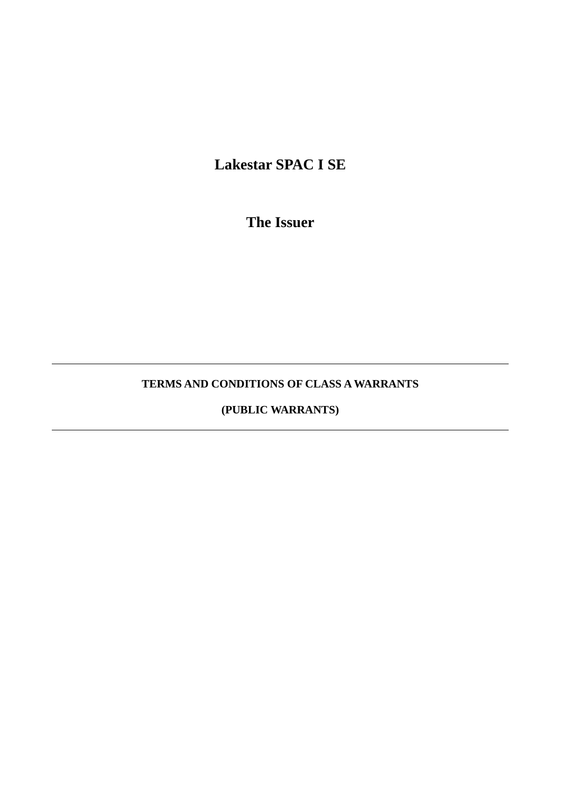**Lakestar SPAC I SE**

**The Issuer**

# **TERMS AND CONDITIONS OF CLASS A WARRANTS**

# **(PUBLIC WARRANTS)**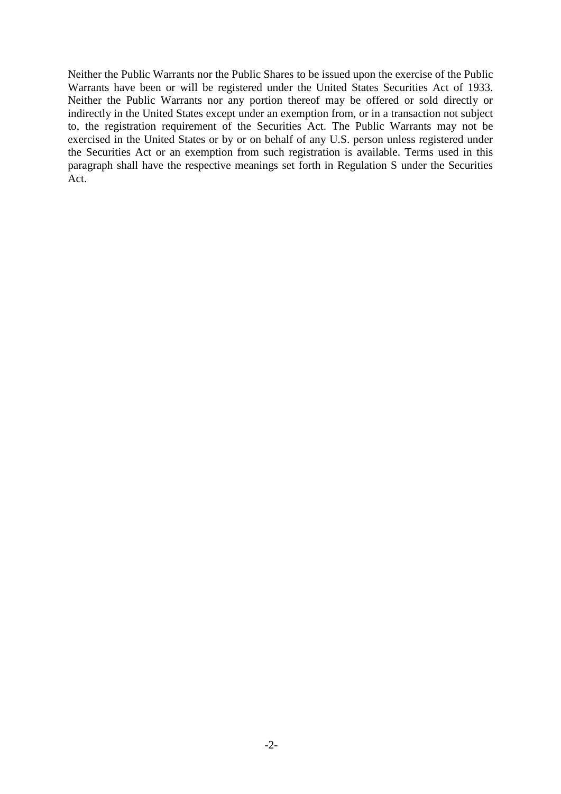Neither the Public Warrants nor the Public Shares to be issued upon the exercise of the Public Warrants have been or will be registered under the United States Securities Act of 1933. Neither the Public Warrants nor any portion thereof may be offered or sold directly or indirectly in the United States except under an exemption from, or in a transaction not subject to, the registration requirement of the Securities Act. The Public Warrants may not be exercised in the United States or by or on behalf of any U.S. person unless registered under the Securities Act or an exemption from such registration is available. Terms used in this paragraph shall have the respective meanings set forth in Regulation S under the Securities Act.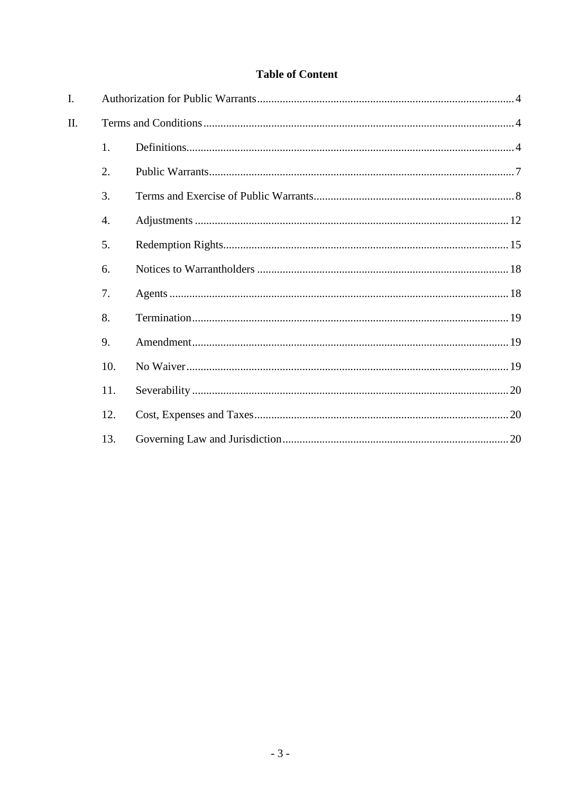# **Table of Content**

| I. |     |  |  |  |  |  |  |  |
|----|-----|--|--|--|--|--|--|--|
| Π. |     |  |  |  |  |  |  |  |
|    | 1.  |  |  |  |  |  |  |  |
|    | 2.  |  |  |  |  |  |  |  |
|    | 3.  |  |  |  |  |  |  |  |
|    | 4.  |  |  |  |  |  |  |  |
|    | 5.  |  |  |  |  |  |  |  |
|    | 6.  |  |  |  |  |  |  |  |
|    | 7.  |  |  |  |  |  |  |  |
|    | 8.  |  |  |  |  |  |  |  |
|    | 9.  |  |  |  |  |  |  |  |
|    | 10. |  |  |  |  |  |  |  |
|    | 11. |  |  |  |  |  |  |  |
|    | 12. |  |  |  |  |  |  |  |
|    | 13. |  |  |  |  |  |  |  |
|    |     |  |  |  |  |  |  |  |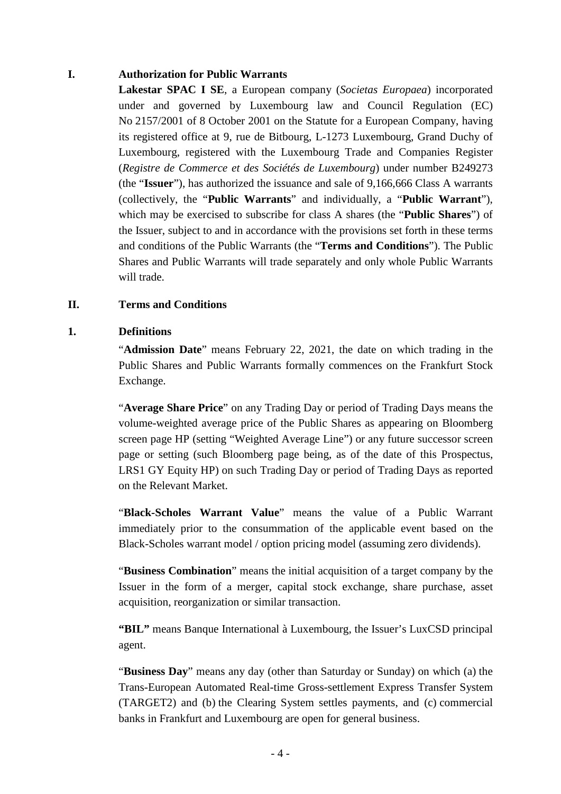#### **I. Authorization for Public Warrants**

**Lakestar SPAC I SE**, a European company (*Societas Europaea*) incorporated under and governed by Luxembourg law and Council Regulation (EC) No 2157/2001 of 8 October 2001 on the Statute for a European Company, having its registered office at 9, rue de Bitbourg, L-1273 Luxembourg, Grand Duchy of Luxembourg, registered with the Luxembourg Trade and Companies Register (*Registre de Commerce et des Sociétés de Luxembourg*) under number B249273 (the "**Issuer**"), has authorized the issuance and sale of 9,166,666 Class A warrants (collectively, the "**Public Warrants**" and individually, a "**Public Warrant**"), which may be exercised to subscribe for class A shares (the "**Public Shares**") of the Issuer, subject to and in accordance with the provisions set forth in these terms and conditions of the Public Warrants (the "**Terms and Conditions**"). The Public Shares and Public Warrants will trade separately and only whole Public Warrants will trade.

#### **II. Terms and Conditions**

#### **1. Definitions**

"**Admission Date**" means February 22, 2021, the date on which trading in the Public Shares and Public Warrants formally commences on the Frankfurt Stock Exchange.

"**Average Share Price**" on any Trading Day or period of Trading Days means the volume-weighted average price of the Public Shares as appearing on Bloomberg screen page HP (setting "Weighted Average Line") or any future successor screen page or setting (such Bloomberg page being, as of the date of this Prospectus, LRS1 GY Equity HP) on such Trading Day or period of Trading Days as reported on the Relevant Market.

"**Black-Scholes Warrant Value**" means the value of a Public Warrant immediately prior to the consummation of the applicable event based on the Black-Scholes warrant model / option pricing model (assuming zero dividends).

"**Business Combination**" means the initial acquisition of a target company by the Issuer in the form of a merger, capital stock exchange, share purchase, asset acquisition, reorganization or similar transaction.

**"BIL"** means Banque International à Luxembourg, the Issuer's LuxCSD principal agent.

"**Business Day**" means any day (other than Saturday or Sunday) on which (a) the Trans-European Automated Real-time Gross-settlement Express Transfer System (TARGET2) and (b) the Clearing System settles payments, and (c) commercial banks in Frankfurt and Luxembourg are open for general business.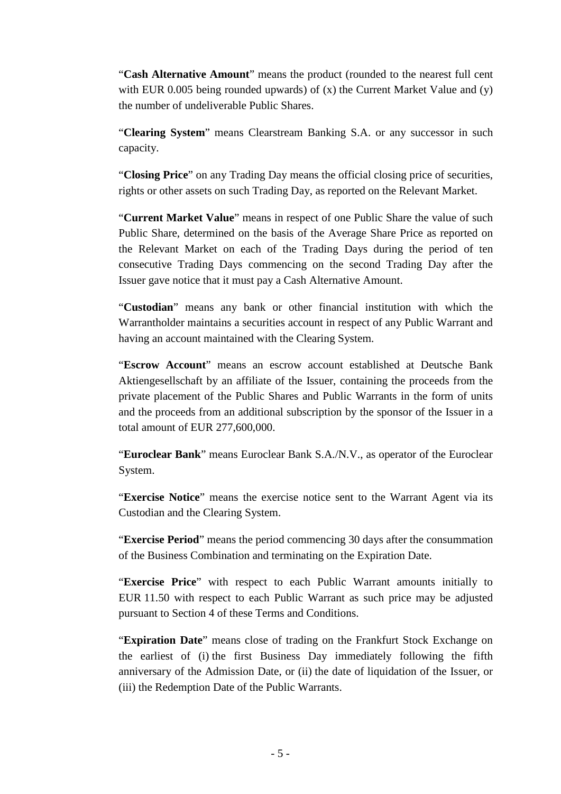"**Cash Alternative Amount**" means the product (rounded to the nearest full cent with EUR 0.005 being rounded upwards) of  $(x)$  the Current Market Value and  $(y)$ the number of undeliverable Public Shares.

"**Clearing System**" means Clearstream Banking S.A. or any successor in such capacity.

"**Closing Price**" on any Trading Day means the official closing price of securities, rights or other assets on such Trading Day, as reported on the Relevant Market.

"**Current Market Value**" means in respect of one Public Share the value of such Public Share, determined on the basis of the Average Share Price as reported on the Relevant Market on each of the Trading Days during the period of ten consecutive Trading Days commencing on the second Trading Day after the Issuer gave notice that it must pay a Cash Alternative Amount.

"**Custodian**" means any bank or other financial institution with which the Warrantholder maintains a securities account in respect of any Public Warrant and having an account maintained with the Clearing System.

"**Escrow Account**" means an escrow account established at Deutsche Bank Aktiengesellschaft by an affiliate of the Issuer, containing the proceeds from the private placement of the Public Shares and Public Warrants in the form of units and the proceeds from an additional subscription by the sponsor of the Issuer in a total amount of EUR 277,600,000.

"**Euroclear Bank**" means Euroclear Bank S.A./N.V., as operator of the Euroclear System.

"**Exercise Notice**" means the exercise notice sent to the Warrant Agent via its Custodian and the Clearing System.

"**Exercise Period**" means the period commencing 30 days after the consummation of the Business Combination and terminating on the Expiration Date.

"**Exercise Price**" with respect to each Public Warrant amounts initially to EUR 11.50 with respect to each Public Warrant as such price may be adjusted pursuant to Section [4](#page-11-0) of these Terms and Conditions.

"**Expiration Date**" means close of trading on the Frankfurt Stock Exchange on the earliest of (i) the first Business Day immediately following the fifth anniversary of the Admission Date, or (ii) the date of liquidation of the Issuer, or (iii) the Redemption Date of the Public Warrants.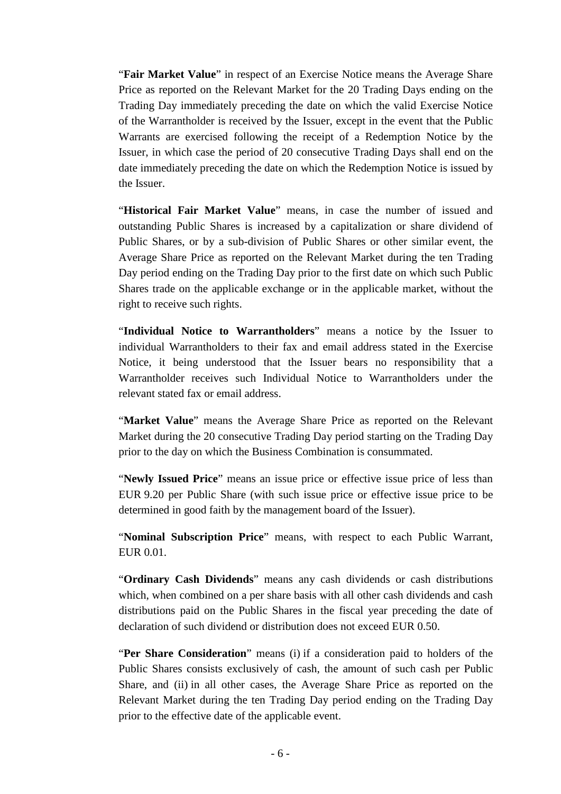"**Fair Market Value**" in respect of an Exercise Notice means the Average Share Price as reported on the Relevant Market for the 20 Trading Days ending on the Trading Day immediately preceding the date on which the valid Exercise Notice of the Warrantholder is received by the Issuer, except in the event that the Public Warrants are exercised following the receipt of a Redemption Notice by the Issuer, in which case the period of 20 consecutive Trading Days shall end on the date immediately preceding the date on which the Redemption Notice is issued by the Issuer.

"**Historical Fair Market Value**" means, in case the number of issued and outstanding Public Shares is increased by a capitalization or share dividend of Public Shares, or by a sub-division of Public Shares or other similar event, the Average Share Price as reported on the Relevant Market during the ten Trading Day period ending on the Trading Day prior to the first date on which such Public Shares trade on the applicable exchange or in the applicable market, without the right to receive such rights.

"**Individual Notice to Warrantholders**" means a notice by the Issuer to individual Warrantholders to their fax and email address stated in the Exercise Notice, it being understood that the Issuer bears no responsibility that a Warrantholder receives such Individual Notice to Warrantholders under the relevant stated fax or email address.

"**Market Value**" means the Average Share Price as reported on the Relevant Market during the 20 consecutive Trading Day period starting on the Trading Day prior to the day on which the Business Combination is consummated.

"**Newly Issued Price**" means an issue price or effective issue price of less than EUR 9.20 per Public Share (with such issue price or effective issue price to be determined in good faith by the management board of the Issuer).

"**Nominal Subscription Price**" means, with respect to each Public Warrant, EUR 0.01.

"**Ordinary Cash Dividends**" means any cash dividends or cash distributions which, when combined on a per share basis with all other cash dividends and cash distributions paid on the Public Shares in the fiscal year preceding the date of declaration of such dividend or distribution does not exceed EUR 0.50.

"**Per Share Consideration**" means (i) if a consideration paid to holders of the Public Shares consists exclusively of cash, the amount of such cash per Public Share, and (ii) in all other cases, the Average Share Price as reported on the Relevant Market during the ten Trading Day period ending on the Trading Day prior to the effective date of the applicable event.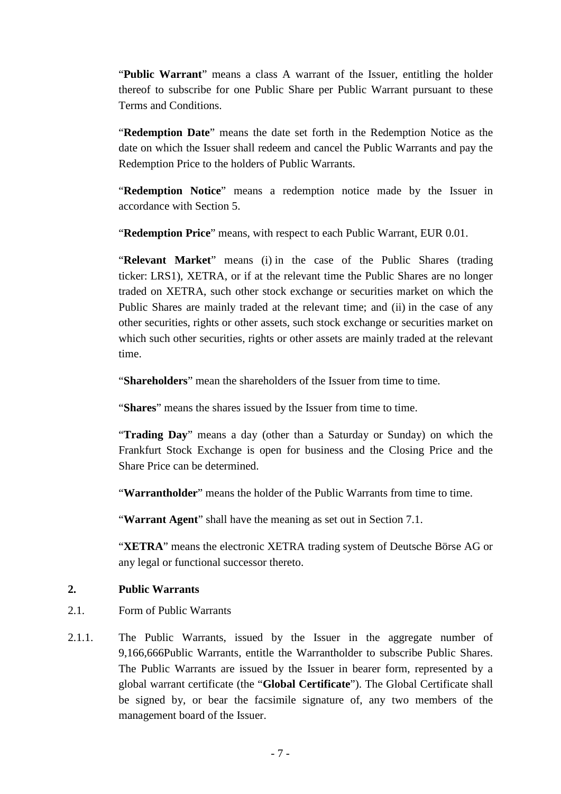"Public Warrant" means a class A warrant of the Issuer, entitling the holder thereof to subscribe for one Public Share per Public Warrant pursuant to these Terms and Conditions.

"**Redemption Date**" means the date set forth in the Redemption Notice as the date on which the Issuer shall redeem and cancel the Public Warrants and pay the Redemption Price to the holders of Public Warrants.

"**Redemption Notice**" means a redemption notice made by the Issuer in accordance with Section [5.](#page-14-0)

"**Redemption Price**" means, with respect to each Public Warrant, EUR 0.01.

"**Relevant Market**" means (i) in the case of the Public Shares (trading ticker: LRS1), XETRA, or if at the relevant time the Public Shares are no longer traded on XETRA, such other stock exchange or securities market on which the Public Shares are mainly traded at the relevant time; and (ii) in the case of any other securities, rights or other assets, such stock exchange or securities market on which such other securities, rights or other assets are mainly traded at the relevant time.

"**Shareholders**" mean the shareholders of the Issuer from time to time.

"**Shares**" means the shares issued by the Issuer from time to time.

"**Trading Day**" means a day (other than a Saturday or Sunday) on which the Frankfurt Stock Exchange is open for business and the Closing Price and the Share Price can be determined.

"**Warrantholder**" means the holder of the Public Warrants from time to time.

"**Warrant Agent**" shall have the meaning as set out in Section [7.1.](#page-17-0)

"**XETRA**" means the electronic XETRA trading system of Deutsche Börse AG or any legal or functional successor thereto.

### **2. Public Warrants**

- 2.1. Form of Public Warrants
- 2.1.1. The Public Warrants, issued by the Issuer in the aggregate number of 9,166,666Public Warrants, entitle the Warrantholder to subscribe Public Shares. The Public Warrants are issued by the Issuer in bearer form, represented by a global warrant certificate (the "**Global Certificate**"). The Global Certificate shall be signed by, or bear the facsimile signature of, any two members of the management board of the Issuer.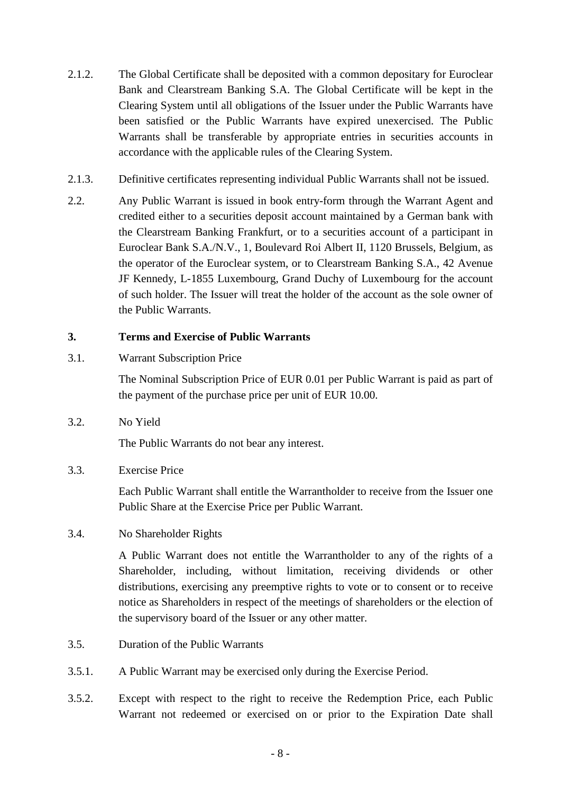- 2.1.2. The Global Certificate shall be deposited with a common depositary for Euroclear Bank and Clearstream Banking S.A. The Global Certificate will be kept in the Clearing System until all obligations of the Issuer under the Public Warrants have been satisfied or the Public Warrants have expired unexercised. The Public Warrants shall be transferable by appropriate entries in securities accounts in accordance with the applicable rules of the Clearing System.
- 2.1.3. Definitive certificates representing individual Public Warrants shall not be issued.
- 2.2. Any Public Warrant is issued in book entry-form through the Warrant Agent and credited either to a securities deposit account maintained by a German bank with the Clearstream Banking Frankfurt, or to a securities account of a participant in Euroclear Bank S.A./N.V., 1, Boulevard Roi Albert II, 1120 Brussels, Belgium, as the operator of the Euroclear system, or to Clearstream Banking S.A., 42 Avenue JF Kennedy, L-1855 Luxembourg, Grand Duchy of Luxembourg for the account of such holder. The Issuer will treat the holder of the account as the sole owner of the Public Warrants.

# **3. Terms and Exercise of Public Warrants**

3.1. Warrant Subscription Price

The Nominal Subscription Price of EUR 0.01 per Public Warrant is paid as part of the payment of the purchase price per unit of EUR 10.00.

3.2. No Yield

The Public Warrants do not bear any interest.

3.3. Exercise Price

Each Public Warrant shall entitle the Warrantholder to receive from the Issuer one Public Share at the Exercise Price per Public Warrant.

3.4. No Shareholder Rights

A Public Warrant does not entitle the Warrantholder to any of the rights of a Shareholder, including, without limitation, receiving dividends or other distributions, exercising any preemptive rights to vote or to consent or to receive notice as Shareholders in respect of the meetings of shareholders or the election of the supervisory board of the Issuer or any other matter.

- 3.5. Duration of the Public Warrants
- 3.5.1. A Public Warrant may be exercised only during the Exercise Period.
- 3.5.2. Except with respect to the right to receive the Redemption Price, each Public Warrant not redeemed or exercised on or prior to the Expiration Date shall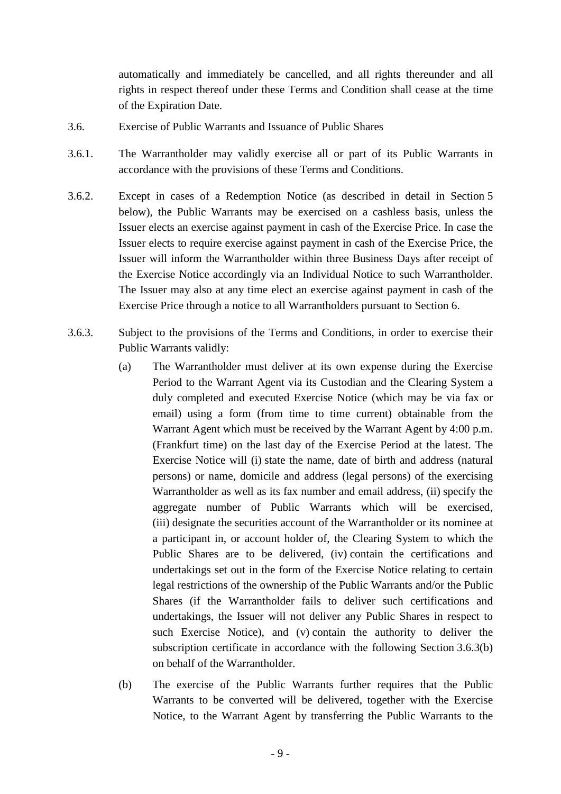automatically and immediately be cancelled, and all rights thereunder and all rights in respect thereof under these Terms and Condition shall cease at the time of the Expiration Date.

- 3.6. Exercise of Public Warrants and Issuance of Public Shares
- 3.6.1. The Warrantholder may validly exercise all or part of its Public Warrants in accordance with the provisions of these Terms and Conditions.
- 3.6.2. Except in cases of a Redemption Notice (as described in detail in Section [5](#page-14-0) below), the Public Warrants may be exercised on a cashless basis, unless the Issuer elects an exercise against payment in cash of the Exercise Price. In case the Issuer elects to require exercise against payment in cash of the Exercise Price, the Issuer will inform the Warrantholder within three Business Days after receipt of the Exercise Notice accordingly via an Individual Notice to such Warrantholder. The Issuer may also at any time elect an exercise against payment in cash of the Exercise Price through a notice to all Warrantholders pursuant to Section [6.](#page-17-1)
- <span id="page-8-1"></span><span id="page-8-0"></span>3.6.3. Subject to the provisions of the Terms and Conditions, in order to exercise their Public Warrants validly:
	- (a) The Warrantholder must deliver at its own expense during the Exercise Period to the Warrant Agent via its Custodian and the Clearing System a duly completed and executed Exercise Notice (which may be via fax or email) using a form (from time to time current) obtainable from the Warrant Agent which must be received by the Warrant Agent by 4:00 p.m. (Frankfurt time) on the last day of the Exercise Period at the latest. The Exercise Notice will (i) state the name, date of birth and address (natural persons) or name, domicile and address (legal persons) of the exercising Warrantholder as well as its fax number and email address, (ii) specify the aggregate number of Public Warrants which will be exercised, (iii) designate the securities account of the Warrantholder or its nominee at a participant in, or account holder of, the Clearing System to which the Public Shares are to be delivered, (iv) contain the certifications and undertakings set out in the form of the Exercise Notice relating to certain legal restrictions of the ownership of the Public Warrants and/or the Public Shares (if the Warrantholder fails to deliver such certifications and undertakings, the Issuer will not deliver any Public Shares in respect to such Exercise Notice), and (v) contain the authority to deliver the subscription certificate in accordance with the following Section [3.6.3\(b\)](#page-8-0) on behalf of the Warrantholder.
	- (b) The exercise of the Public Warrants further requires that the Public Warrants to be converted will be delivered, together with the Exercise Notice, to the Warrant Agent by transferring the Public Warrants to the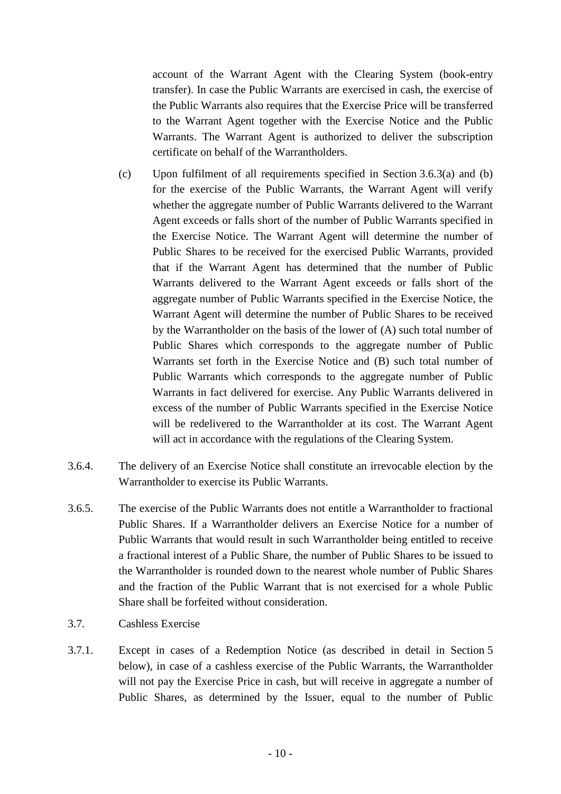account of the Warrant Agent with the Clearing System (book-entry transfer). In case the Public Warrants are exercised in cash, the exercise of the Public Warrants also requires that the Exercise Price will be transferred to the Warrant Agent together with the Exercise Notice and the Public Warrants. The Warrant Agent is authorized to deliver the subscription certificate on behalf of the Warrantholders.

- (c) Upon fulfilment of all requirements specified in Section [3.6.3\(a\)](#page-8-0) and [\(b\)](#page-8-1) for the exercise of the Public Warrants, the Warrant Agent will verify whether the aggregate number of Public Warrants delivered to the Warrant Agent exceeds or falls short of the number of Public Warrants specified in the Exercise Notice. The Warrant Agent will determine the number of Public Shares to be received for the exercised Public Warrants, provided that if the Warrant Agent has determined that the number of Public Warrants delivered to the Warrant Agent exceeds or falls short of the aggregate number of Public Warrants specified in the Exercise Notice, the Warrant Agent will determine the number of Public Shares to be received by the Warrantholder on the basis of the lower of (A) such total number of Public Shares which corresponds to the aggregate number of Public Warrants set forth in the Exercise Notice and (B) such total number of Public Warrants which corresponds to the aggregate number of Public Warrants in fact delivered for exercise. Any Public Warrants delivered in excess of the number of Public Warrants specified in the Exercise Notice will be redelivered to the Warrantholder at its cost. The Warrant Agent will act in accordance with the regulations of the Clearing System.
- 3.6.4. The delivery of an Exercise Notice shall constitute an irrevocable election by the Warrantholder to exercise its Public Warrants.
- 3.6.5. The exercise of the Public Warrants does not entitle a Warrantholder to fractional Public Shares. If a Warrantholder delivers an Exercise Notice for a number of Public Warrants that would result in such Warrantholder being entitled to receive a fractional interest of a Public Share, the number of Public Shares to be issued to the Warrantholder is rounded down to the nearest whole number of Public Shares and the fraction of the Public Warrant that is not exercised for a whole Public Share shall be forfeited without consideration.
- 3.7. Cashless Exercise
- <span id="page-9-0"></span>3.7.1. Except in cases of a Redemption Notice (as described in detail in Section [5](#page-14-0) below), in case of a cashless exercise of the Public Warrants, the Warrantholder will not pay the Exercise Price in cash, but will receive in aggregate a number of Public Shares, as determined by the Issuer, equal to the number of Public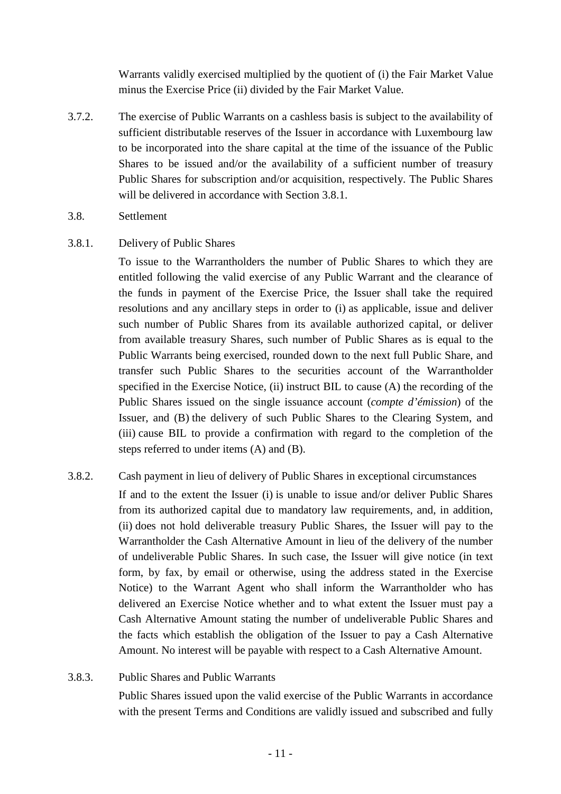Warrants validly exercised multiplied by the quotient of (i) the Fair Market Value minus the Exercise Price (ii) divided by the Fair Market Value.

- 3.7.2. The exercise of Public Warrants on a cashless basis is subject to the availability of sufficient distributable reserves of the Issuer in accordance with Luxembourg law to be incorporated into the share capital at the time of the issuance of the Public Shares to be issued and/or the availability of a sufficient number of treasury Public Shares for subscription and/or acquisition, respectively. The Public Shares will be delivered in accordance with Section [3.8.1.](#page-10-0)
- <span id="page-10-1"></span>3.8. Settlement
- <span id="page-10-0"></span>3.8.1. Delivery of Public Shares

To issue to the Warrantholders the number of Public Shares to which they are entitled following the valid exercise of any Public Warrant and the clearance of the funds in payment of the Exercise Price, the Issuer shall take the required resolutions and any ancillary steps in order to (i) as applicable, issue and deliver such number of Public Shares from its available authorized capital, or deliver from available treasury Shares, such number of Public Shares as is equal to the Public Warrants being exercised, rounded down to the next full Public Share, and transfer such Public Shares to the securities account of the Warrantholder specified in the Exercise Notice, (ii) instruct BIL to cause (A) the recording of the Public Shares issued on the single issuance account (*compte d'émission*) of the Issuer, and (B) the delivery of such Public Shares to the Clearing System, and (iii) cause BIL to provide a confirmation with regard to the completion of the steps referred to under items (A) and (B).

- 3.8.2. Cash payment in lieu of delivery of Public Shares in exceptional circumstances If and to the extent the Issuer (i) is unable to issue and/or deliver Public Shares from its authorized capital due to mandatory law requirements, and, in addition, (ii) does not hold deliverable treasury Public Shares, the Issuer will pay to the Warrantholder the Cash Alternative Amount in lieu of the delivery of the number of undeliverable Public Shares. In such case, the Issuer will give notice (in text form, by fax, by email or otherwise, using the address stated in the Exercise Notice) to the Warrant Agent who shall inform the Warrantholder who has delivered an Exercise Notice whether and to what extent the Issuer must pay a Cash Alternative Amount stating the number of undeliverable Public Shares and the facts which establish the obligation of the Issuer to pay a Cash Alternative Amount. No interest will be payable with respect to a Cash Alternative Amount.
- 3.8.3. Public Shares and Public Warrants

Public Shares issued upon the valid exercise of the Public Warrants in accordance with the present Terms and Conditions are validly issued and subscribed and fully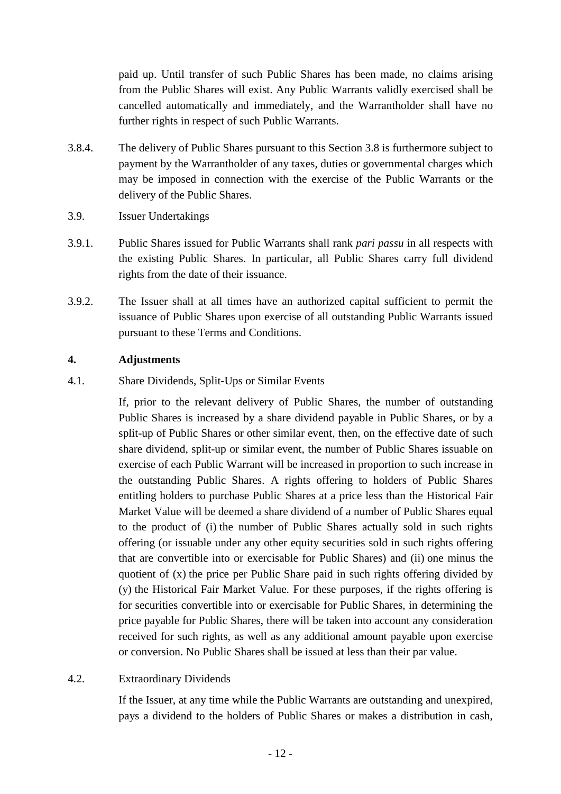paid up. Until transfer of such Public Shares has been made, no claims arising from the Public Shares will exist. Any Public Warrants validly exercised shall be cancelled automatically and immediately, and the Warrantholder shall have no further rights in respect of such Public Warrants.

- 3.8.4. The delivery of Public Shares pursuant to this Section [3.8](#page-10-1) is furthermore subject to payment by the Warrantholder of any taxes, duties or governmental charges which may be imposed in connection with the exercise of the Public Warrants or the delivery of the Public Shares.
- 3.9. Issuer Undertakings
- 3.9.1. Public Shares issued for Public Warrants shall rank *pari passu* in all respects with the existing Public Shares. In particular, all Public Shares carry full dividend rights from the date of their issuance.
- 3.9.2. The Issuer shall at all times have an authorized capital sufficient to permit the issuance of Public Shares upon exercise of all outstanding Public Warrants issued pursuant to these Terms and Conditions.

#### <span id="page-11-0"></span>**4. Adjustments**

<span id="page-11-1"></span>4.1. Share Dividends, Split-Ups or Similar Events

If, prior to the relevant delivery of Public Shares, the number of outstanding Public Shares is increased by a share dividend payable in Public Shares, or by a split-up of Public Shares or other similar event, then, on the effective date of such share dividend, split-up or similar event, the number of Public Shares issuable on exercise of each Public Warrant will be increased in proportion to such increase in the outstanding Public Shares. A rights offering to holders of Public Shares entitling holders to purchase Public Shares at a price less than the Historical Fair Market Value will be deemed a share dividend of a number of Public Shares equal to the product of (i) the number of Public Shares actually sold in such rights offering (or issuable under any other equity securities sold in such rights offering that are convertible into or exercisable for Public Shares) and (ii) one minus the quotient of (x) the price per Public Share paid in such rights offering divided by (y) the Historical Fair Market Value. For these purposes, if the rights offering is for securities convertible into or exercisable for Public Shares, in determining the price payable for Public Shares, there will be taken into account any consideration received for such rights, as well as any additional amount payable upon exercise or conversion. No Public Shares shall be issued at less than their par value.

### <span id="page-11-2"></span>4.2. Extraordinary Dividends

If the Issuer, at any time while the Public Warrants are outstanding and unexpired, pays a dividend to the holders of Public Shares or makes a distribution in cash,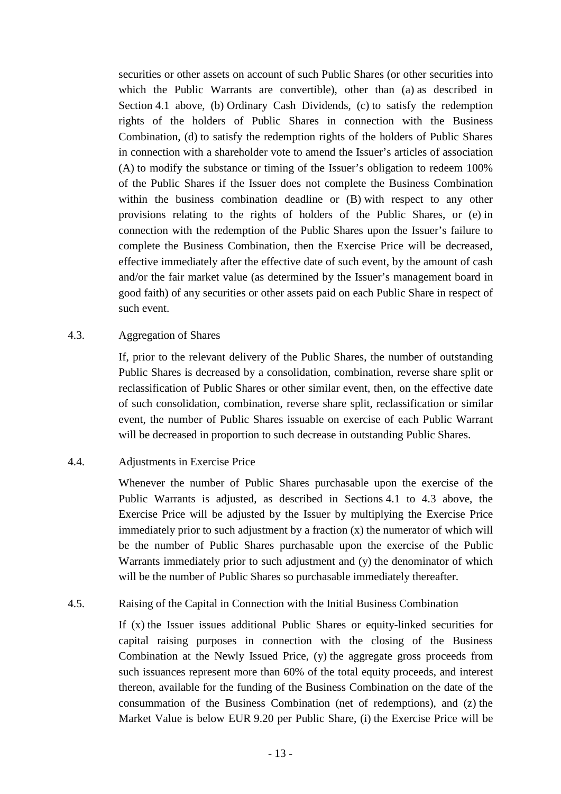securities or other assets on account of such Public Shares (or other securities into which the Public Warrants are convertible), other than (a) as described in Section [4.1](#page-11-1) above, (b) Ordinary Cash Dividends, (c) to satisfy the redemption rights of the holders of Public Shares in connection with the Business Combination, (d) to satisfy the redemption rights of the holders of Public Shares in connection with a shareholder vote to amend the Issuer's articles of association (A) to modify the substance or timing of the Issuer's obligation to redeem 100% of the Public Shares if the Issuer does not complete the Business Combination within the business combination deadline or (B) with respect to any other provisions relating to the rights of holders of the Public Shares, or (e) in connection with the redemption of the Public Shares upon the Issuer's failure to complete the Business Combination, then the Exercise Price will be decreased, effective immediately after the effective date of such event, by the amount of cash and/or the fair market value (as determined by the Issuer's management board in good faith) of any securities or other assets paid on each Public Share in respect of such event.

#### <span id="page-12-0"></span>4.3. Aggregation of Shares

If, prior to the relevant delivery of the Public Shares, the number of outstanding Public Shares is decreased by a consolidation, combination, reverse share split or reclassification of Public Shares or other similar event, then, on the effective date of such consolidation, combination, reverse share split, reclassification or similar event, the number of Public Shares issuable on exercise of each Public Warrant will be decreased in proportion to such decrease in outstanding Public Shares.

### <span id="page-12-1"></span>4.4. Adjustments in Exercise Price

Whenever the number of Public Shares purchasable upon the exercise of the Public Warrants is adjusted, as described in Sections [4.1](#page-11-1) to [4.3](#page-12-0) above, the Exercise Price will be adjusted by the Issuer by multiplying the Exercise Price immediately prior to such adjustment by a fraction (x) the numerator of which will be the number of Public Shares purchasable upon the exercise of the Public Warrants immediately prior to such adjustment and (y) the denominator of which will be the number of Public Shares so purchasable immediately thereafter.

### <span id="page-12-2"></span>4.5. Raising of the Capital in Connection with the Initial Business Combination

If  $(x)$  the Issuer issues additional Public Shares or equity-linked securities for capital raising purposes in connection with the closing of the Business Combination at the Newly Issued Price, (y) the aggregate gross proceeds from such issuances represent more than 60% of the total equity proceeds, and interest thereon, available for the funding of the Business Combination on the date of the consummation of the Business Combination (net of redemptions), and (z) the Market Value is below EUR 9.20 per Public Share, (i) the Exercise Price will be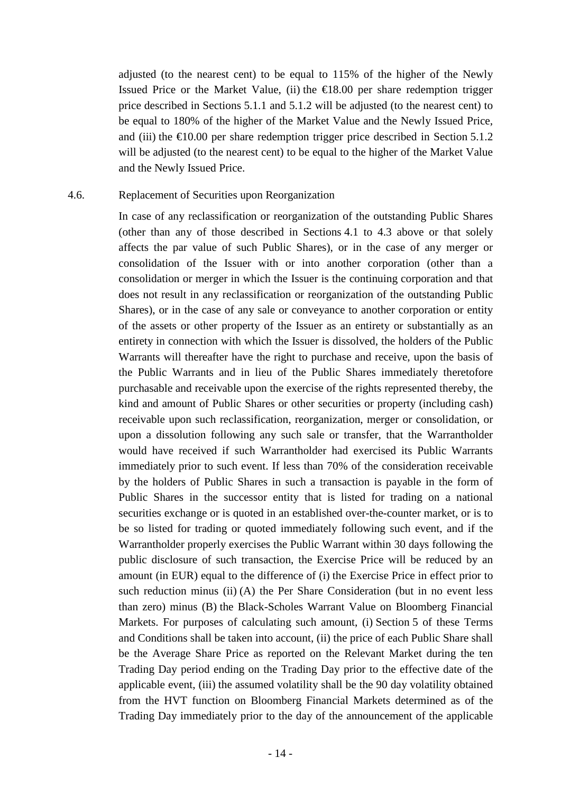adjusted (to the nearest cent) to be equal to 115% of the higher of the Newly Issued Price or the Market Value, (ii) the  $€18.00$  per share redemption trigger price described in Sections [5.1.1](#page-14-1) and [5.1.2](#page-14-2) will be adjusted (to the nearest cent) to be equal to 180% of the higher of the Market Value and the Newly Issued Price, and (iii) the  $\epsilon 10.00$  per share redemption trigger price described in Section [5.1.2](#page-14-2) will be adjusted (to the nearest cent) to be equal to the higher of the Market Value and the Newly Issued Price.

#### <span id="page-13-0"></span>4.6. Replacement of Securities upon Reorganization

In case of any reclassification or reorganization of the outstanding Public Shares (other than any of those described in Sections [4.1](#page-11-1) to [4.3](#page-12-0) above or that solely affects the par value of such Public Shares), or in the case of any merger or consolidation of the Issuer with or into another corporation (other than a consolidation or merger in which the Issuer is the continuing corporation and that does not result in any reclassification or reorganization of the outstanding Public Shares), or in the case of any sale or conveyance to another corporation or entity of the assets or other property of the Issuer as an entirety or substantially as an entirety in connection with which the Issuer is dissolved, the holders of the Public Warrants will thereafter have the right to purchase and receive, upon the basis of the Public Warrants and in lieu of the Public Shares immediately theretofore purchasable and receivable upon the exercise of the rights represented thereby, the kind and amount of Public Shares or other securities or property (including cash) receivable upon such reclassification, reorganization, merger or consolidation, or upon a dissolution following any such sale or transfer, that the Warrantholder would have received if such Warrantholder had exercised its Public Warrants immediately prior to such event. If less than 70% of the consideration receivable by the holders of Public Shares in such a transaction is payable in the form of Public Shares in the successor entity that is listed for trading on a national securities exchange or is quoted in an established over-the-counter market, or is to be so listed for trading or quoted immediately following such event, and if the Warrantholder properly exercises the Public Warrant within 30 days following the public disclosure of such transaction, the Exercise Price will be reduced by an amount (in EUR) equal to the difference of (i) the Exercise Price in effect prior to such reduction minus (ii) (A) the Per Share Consideration (but in no event less than zero) minus (B) the Black-Scholes Warrant Value on Bloomberg Financial Markets. For purposes of calculating such amount, (i) Section [5](#page-14-0) of these Terms and Conditions shall be taken into account, (ii) the price of each Public Share shall be the Average Share Price as reported on the Relevant Market during the ten Trading Day period ending on the Trading Day prior to the effective date of the applicable event, (iii) the assumed volatility shall be the 90 day volatility obtained from the HVT function on Bloomberg Financial Markets determined as of the Trading Day immediately prior to the day of the announcement of the applicable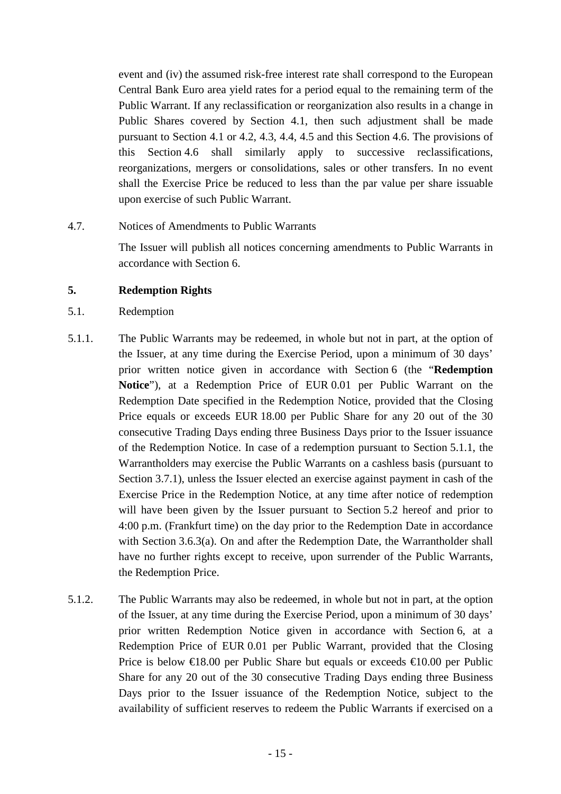event and (iv) the assumed risk-free interest rate shall correspond to the European Central Bank Euro area yield rates for a period equal to the remaining term of the Public Warrant. If any reclassification or reorganization also results in a change in Public Shares covered by Section [4.1,](#page-11-1) then such adjustment shall be made pursuant to Section [4.1](#page-11-1) or [4.2,](#page-11-2) [4.3,](#page-12-0) [4.4,](#page-12-1) [4.5](#page-12-2) and this Section [4.6.](#page-13-0) The provisions of this Section [4.6](#page-13-0) shall similarly apply to successive reclassifications, reorganizations, mergers or consolidations, sales or other transfers. In no event shall the Exercise Price be reduced to less than the par value per share issuable upon exercise of such Public Warrant.

4.7. Notices of Amendments to Public Warrants

The Issuer will publish all notices concerning amendments to Public Warrants in accordance with Section [6.](#page-17-1)

# <span id="page-14-0"></span>**5. Redemption Rights**

- 5.1. Redemption
- <span id="page-14-1"></span>5.1.1. The Public Warrants may be redeemed, in whole but not in part, at the option of the Issuer, at any time during the Exercise Period, upon a minimum of 30 days' prior written notice given in accordance with Section [6](#page-17-1) (the "**Redemption Notice**"), at a Redemption Price of EUR 0.01 per Public Warrant on the Redemption Date specified in the Redemption Notice, provided that the Closing Price equals or exceeds EUR 18.00 per Public Share for any 20 out of the 30 consecutive Trading Days ending three Business Days prior to the Issuer issuance of the Redemption Notice. In case of a redemption pursuant to Section [5.1.1,](#page-14-1) the Warrantholders may exercise the Public Warrants on a cashless basis (pursuant to Section [3.7.1\)](#page-9-0), unless the Issuer elected an exercise against payment in cash of the Exercise Price in the Redemption Notice, at any time after notice of redemption will have been given by the Issuer pursuant to Section [5.2](#page-16-0) hereof and prior to 4:00 p.m. (Frankfurt time) on the day prior to the Redemption Date in accordance with Section [3.6.3\(a\).](#page-8-0) On and after the Redemption Date, the Warrantholder shall have no further rights except to receive, upon surrender of the Public Warrants, the Redemption Price.
- <span id="page-14-2"></span>5.1.2. The Public Warrants may also be redeemed, in whole but not in part, at the option of the Issuer, at any time during the Exercise Period, upon a minimum of 30 days' prior written Redemption Notice given in accordance with Section [6,](#page-17-1) at a Redemption Price of EUR 0.01 per Public Warrant, provided that the Closing Price is below  $\in$ 18.00 per Public Share but equals or exceeds  $\in$ 10.00 per Public Share for any 20 out of the 30 consecutive Trading Days ending three Business Days prior to the Issuer issuance of the Redemption Notice, subject to the availability of sufficient reserves to redeem the Public Warrants if exercised on a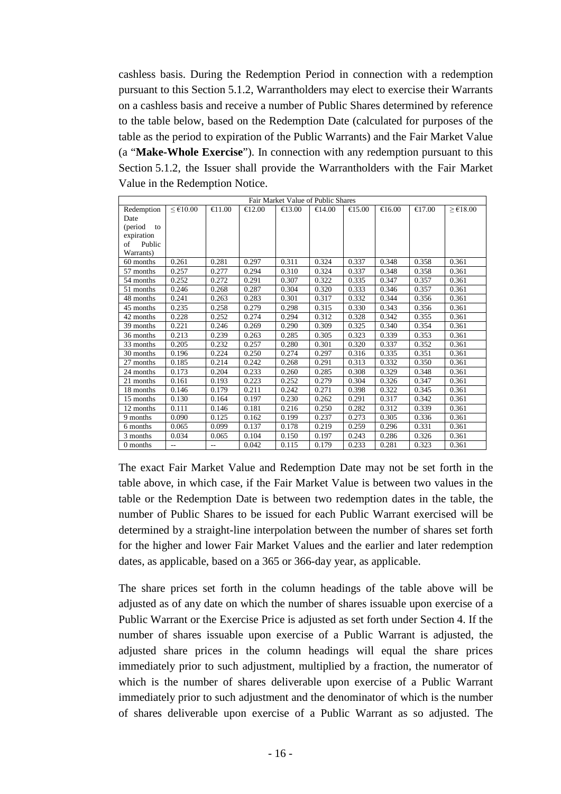cashless basis. During the Redemption Period in connection with a redemption pursuant to this Section [5.1.2,](#page-14-2) Warrantholders may elect to exercise their Warrants on a cashless basis and receive a number of Public Shares determined by reference to the table below, based on the Redemption Date (calculated for purposes of the table as the period to expiration of the Public Warrants) and the Fair Market Value (a "**Make-Whole Exercise**"). In connection with any redemption pursuant to this Section [5.1.2,](#page-14-2) the Issuer shall provide the Warrantholders with the Fair Market Value in the Redemption Notice.

| Fair Market Value of Public Shares |         |                  |                  |                  |        |                  |                  |                  |                                  |  |  |  |
|------------------------------------|---------|------------------|------------------|------------------|--------|------------------|------------------|------------------|----------------------------------|--|--|--|
| Redemption                         | < 10.00 | $\bigoplus$ 1.00 | $\bigoplus$ 2.00 | $\bigoplus$ 3.00 | €14.00 | $\bigoplus$ 5.00 | $\bigoplus$ 6.00 | $\bigoplus$ 7.00 | $\geq \text{\textsterling}18.00$ |  |  |  |
| Date                               |         |                  |                  |                  |        |                  |                  |                  |                                  |  |  |  |
| (period<br>to                      |         |                  |                  |                  |        |                  |                  |                  |                                  |  |  |  |
| expiration                         |         |                  |                  |                  |        |                  |                  |                  |                                  |  |  |  |
| of<br>Public                       |         |                  |                  |                  |        |                  |                  |                  |                                  |  |  |  |
| Warrants)                          |         |                  |                  |                  |        |                  |                  |                  |                                  |  |  |  |
| 60 months                          | 0.261   | 0.281            | 0.297            | 0.311            | 0.324  | 0.337            | 0.348            | 0.358            | 0.361                            |  |  |  |
| 57 months                          | 0.257   | 0.277            | 0.294            | 0.310            | 0.324  | 0.337            | 0.348            | 0.358            | 0.361                            |  |  |  |
| 54 months                          | 0.252   | 0.272            | 0.291            | 0.307            | 0.322  | 0.335            | 0.347            | 0.357            | 0.361                            |  |  |  |
| 51 months                          | 0.246   | 0.268            | 0.287            | 0.304            | 0.320  | 0.333            | 0.346            | 0.357            | 0.361                            |  |  |  |
| 48 months                          | 0.241   | 0.263            | 0.283            | 0.301            | 0.317  | 0.332            | 0.344            | 0.356            | 0.361                            |  |  |  |
| 45 months                          | 0.235   | 0.258            | 0.279            | 0.298            | 0.315  | 0.330            | 0.343            | 0.356            | 0.361                            |  |  |  |
| 42 months                          | 0.228   | 0.252            | 0.274            | 0.294            | 0.312  | 0.328            | 0.342            | 0.355            | 0.361                            |  |  |  |
| 39 months                          | 0.221   | 0.246            | 0.269            | 0.290            | 0.309  | 0.325            | 0.340            | 0.354            | 0.361                            |  |  |  |
| 36 months                          | 0.213   | 0.239            | 0.263            | 0.285            | 0.305  | 0.323            | 0.339            | 0.353            | 0.361                            |  |  |  |
| 33 months                          | 0.205   | 0.232            | 0.257            | 0.280            | 0.301  | 0.320            | 0.337            | 0.352            | 0.361                            |  |  |  |
| 30 months                          | 0.196   | 0.224            | 0.250            | 0.274            | 0.297  | 0.316            | 0.335            | 0.351            | 0.361                            |  |  |  |
| 27 months                          | 0.185   | 0.214            | 0.242            | 0.268            | 0.291  | 0.313            | 0.332            | 0.350            | 0.361                            |  |  |  |
| 24 months                          | 0.173   | 0.204            | 0.233            | 0.260            | 0.285  | 0.308            | 0.329            | 0.348            | 0.361                            |  |  |  |
| 21 months                          | 0.161   | 0.193            | 0.223            | 0.252            | 0.279  | 0.304            | 0.326            | 0.347            | 0.361                            |  |  |  |
| 18 months                          | 0.146   | 0.179            | 0.211            | 0.242            | 0.271  | 0.398            | 0.322            | 0.345            | 0.361                            |  |  |  |
| 15 months                          | 0.130   | 0.164            | 0.197            | 0.230            | 0.262  | 0.291            | 0.317            | 0.342            | 0.361                            |  |  |  |
| 12 months                          | 0.111   | 0.146            | 0.181            | 0.216            | 0.250  | 0.282            | 0.312            | 0.339            | 0.361                            |  |  |  |
| 9 months                           | 0.090   | 0.125            | 0.162            | 0.199            | 0.237  | 0.273            | 0.305            | 0.336            | 0.361                            |  |  |  |
| 6 months                           | 0.065   | 0.099            | 0.137            | 0.178            | 0.219  | 0.259            | 0.296            | 0.331            | 0.361                            |  |  |  |
| 3 months                           | 0.034   | 0.065            | 0.104            | 0.150            | 0.197  | 0.243            | 0.286            | 0.326            | 0.361                            |  |  |  |
| 0 months                           | $-$     | $-$              | 0.042            | 0.115            | 0.179  | 0.233            | 0.281            | 0.323            | 0.361                            |  |  |  |

The exact Fair Market Value and Redemption Date may not be set forth in the table above, in which case, if the Fair Market Value is between two values in the table or the Redemption Date is between two redemption dates in the table, the number of Public Shares to be issued for each Public Warrant exercised will be determined by a straight-line interpolation between the number of shares set forth for the higher and lower Fair Market Values and the earlier and later redemption dates, as applicable, based on a 365 or 366-day year, as applicable.

The share prices set forth in the column headings of the table above will be adjusted as of any date on which the number of shares issuable upon exercise of a Public Warrant or the Exercise Price is adjusted as set forth under Section [4.](#page-11-0) If the number of shares issuable upon exercise of a Public Warrant is adjusted, the adjusted share prices in the column headings will equal the share prices immediately prior to such adjustment, multiplied by a fraction, the numerator of which is the number of shares deliverable upon exercise of a Public Warrant immediately prior to such adjustment and the denominator of which is the number of shares deliverable upon exercise of a Public Warrant as so adjusted. The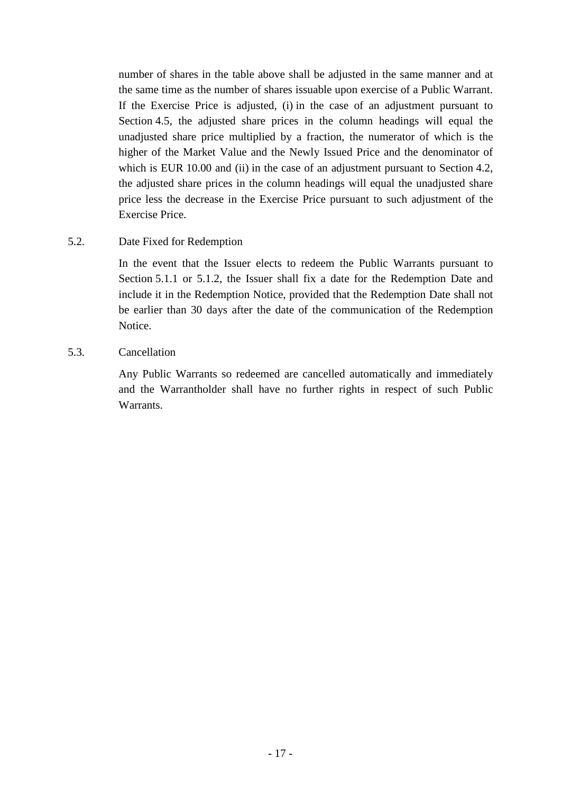number of shares in the table above shall be adjusted in the same manner and at the same time as the number of shares issuable upon exercise of a Public Warrant. If the Exercise Price is adjusted, (i) in the case of an adjustment pursuant to Section [4.5,](#page-12-2) the adjusted share prices in the column headings will equal the unadjusted share price multiplied by a fraction, the numerator of which is the higher of the Market Value and the Newly Issued Price and the denominator of which is EUR 10.00 and (ii) in the case of an adjustment pursuant to Section [4.2,](#page-11-2) the adjusted share prices in the column headings will equal the unadjusted share price less the decrease in the Exercise Price pursuant to such adjustment of the Exercise Price.

# <span id="page-16-0"></span>5.2. Date Fixed for Redemption

In the event that the Issuer elects to redeem the Public Warrants pursuant to Section [5.1.1](#page-14-1) or [5.1.2,](#page-14-2) the Issuer shall fix a date for the Redemption Date and include it in the Redemption Notice, provided that the Redemption Date shall not be earlier than 30 days after the date of the communication of the Redemption Notice.

# 5.3. Cancellation

Any Public Warrants so redeemed are cancelled automatically and immediately and the Warrantholder shall have no further rights in respect of such Public Warrants.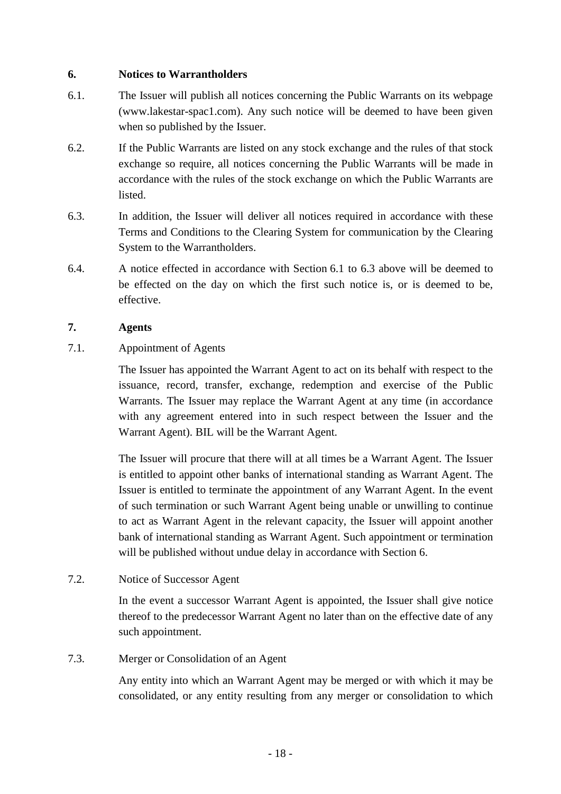### <span id="page-17-1"></span>**6. Notices to Warrantholders**

- <span id="page-17-2"></span>6.1. The Issuer will publish all notices concerning the Public Warrants on its webpage (www.lakestar-spac1.com). Any such notice will be deemed to have been given when so published by the Issuer.
- 6.2. If the Public Warrants are listed on any stock exchange and the rules of that stock exchange so require, all notices concerning the Public Warrants will be made in accordance with the rules of the stock exchange on which the Public Warrants are listed.
- <span id="page-17-3"></span>6.3. In addition, the Issuer will deliver all notices required in accordance with these Terms and Conditions to the Clearing System for communication by the Clearing System to the Warrantholders.
- 6.4. A notice effected in accordance with Section [6.1](#page-17-2) to [6.3](#page-17-3) above will be deemed to be effected on the day on which the first such notice is, or is deemed to be, effective.

### **7. Agents**

<span id="page-17-0"></span>7.1. Appointment of Agents

The Issuer has appointed the Warrant Agent to act on its behalf with respect to the issuance, record, transfer, exchange, redemption and exercise of the Public Warrants. The Issuer may replace the Warrant Agent at any time (in accordance with any agreement entered into in such respect between the Issuer and the Warrant Agent). BIL will be the Warrant Agent.

The Issuer will procure that there will at all times be a Warrant Agent. The Issuer is entitled to appoint other banks of international standing as Warrant Agent. The Issuer is entitled to terminate the appointment of any Warrant Agent. In the event of such termination or such Warrant Agent being unable or unwilling to continue to act as Warrant Agent in the relevant capacity, the Issuer will appoint another bank of international standing as Warrant Agent. Such appointment or termination will be published without undue delay in accordance with Section [6.](#page-17-1)

7.2. Notice of Successor Agent

In the event a successor Warrant Agent is appointed, the Issuer shall give notice thereof to the predecessor Warrant Agent no later than on the effective date of any such appointment.

### 7.3. Merger or Consolidation of an Agent

Any entity into which an Warrant Agent may be merged or with which it may be consolidated, or any entity resulting from any merger or consolidation to which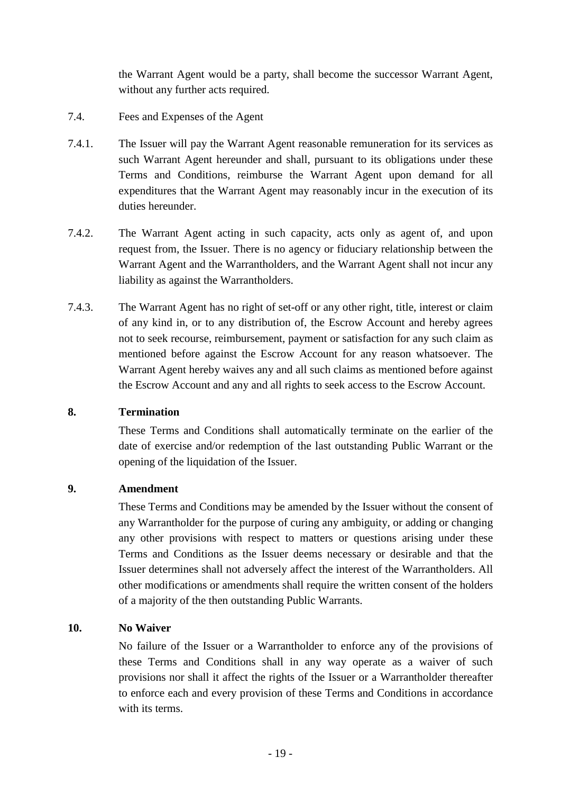the Warrant Agent would be a party, shall become the successor Warrant Agent, without any further acts required.

- 7.4. Fees and Expenses of the Agent
- 7.4.1. The Issuer will pay the Warrant Agent reasonable remuneration for its services as such Warrant Agent hereunder and shall, pursuant to its obligations under these Terms and Conditions, reimburse the Warrant Agent upon demand for all expenditures that the Warrant Agent may reasonably incur in the execution of its duties hereunder.
- 7.4.2. The Warrant Agent acting in such capacity, acts only as agent of, and upon request from, the Issuer. There is no agency or fiduciary relationship between the Warrant Agent and the Warrantholders, and the Warrant Agent shall not incur any liability as against the Warrantholders.
- 7.4.3. The Warrant Agent has no right of set-off or any other right, title, interest or claim of any kind in, or to any distribution of, the Escrow Account and hereby agrees not to seek recourse, reimbursement, payment or satisfaction for any such claim as mentioned before against the Escrow Account for any reason whatsoever. The Warrant Agent hereby waives any and all such claims as mentioned before against the Escrow Account and any and all rights to seek access to the Escrow Account.

#### **8. Termination**

These Terms and Conditions shall automatically terminate on the earlier of the date of exercise and/or redemption of the last outstanding Public Warrant or the opening of the liquidation of the Issuer.

#### **9. Amendment**

These Terms and Conditions may be amended by the Issuer without the consent of any Warrantholder for the purpose of curing any ambiguity, or adding or changing any other provisions with respect to matters or questions arising under these Terms and Conditions as the Issuer deems necessary or desirable and that the Issuer determines shall not adversely affect the interest of the Warrantholders. All other modifications or amendments shall require the written consent of the holders of a majority of the then outstanding Public Warrants.

### **10. No Waiver**

No failure of the Issuer or a Warrantholder to enforce any of the provisions of these Terms and Conditions shall in any way operate as a waiver of such provisions nor shall it affect the rights of the Issuer or a Warrantholder thereafter to enforce each and every provision of these Terms and Conditions in accordance with its terms.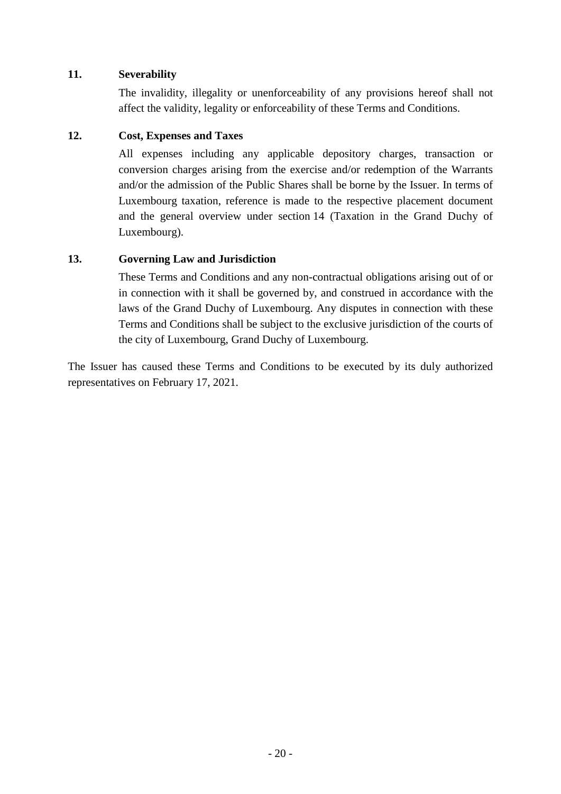# **11. Severability**

The invalidity, illegality or unenforceability of any provisions hereof shall not affect the validity, legality or enforceability of these Terms and Conditions.

# **12. Cost, Expenses and Taxes**

All expenses including any applicable depository charges, transaction or conversion charges arising from the exercise and/or redemption of the Warrants and/or the admission of the Public Shares shall be borne by the Issuer. In terms of Luxembourg taxation, reference is made to the respective placement document and the general overview under section 14 (Taxation in the Grand Duchy of Luxembourg).

# **13. Governing Law and Jurisdiction**

These Terms and Conditions and any non-contractual obligations arising out of or in connection with it shall be governed by, and construed in accordance with the laws of the Grand Duchy of Luxembourg. Any disputes in connection with these Terms and Conditions shall be subject to the exclusive jurisdiction of the courts of the city of Luxembourg, Grand Duchy of Luxembourg.

The Issuer has caused these Terms and Conditions to be executed by its duly authorized representatives on February 17, 2021.